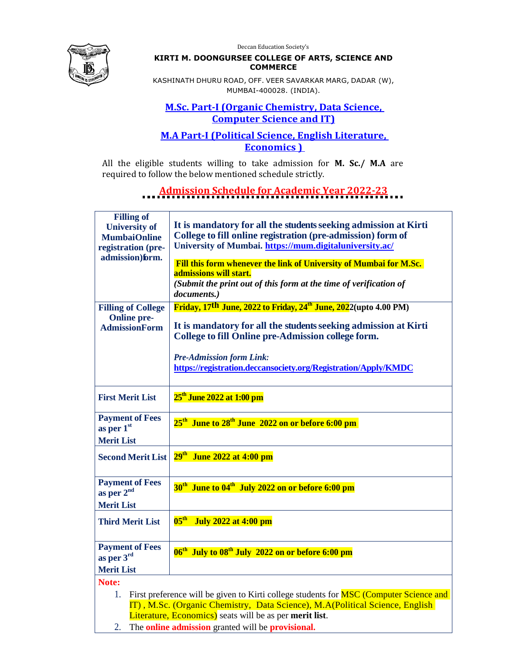Deccan Education Society's



#### **KIRTI M. DOONGURSEE COLLEGE OF ARTS, SCIENCE AND COMMERCE**

KASHINATH DHURU ROAD, OFF. VEER SAVARKAR MARG, DADAR (W), MUMBAI-400028. (INDIA).

#### **M.Sc. Part-I (Organic Chemistry, Data Science, Computer Science and IT)**

### **M.A Part-I (Political Science, English Literature, Economics )**

All the eligible students willing to take admission for **M. Sc./ M.A** are required to follow the below mentioned schedule strictly.

### **Admission Schedule for Academic Year 2022-23**

| <b>Filling of</b><br><b>University of</b><br><b>MumbaiOnline</b><br>registration (pre-<br>admission)form.                                                                                                                                                                                                                                                                                                                                                                                            | It is mandatory for all the students seeking admission at Kirti<br>College to fill online registration (pre-admission) form of<br>University of Mumbai. https://mum.digitaluniversity.ac/<br>Fill this form whenever the link of University of Mumbai for M.Sc.<br>admissions will start.<br>(Submit the print out of this form at the time of verification of<br>documents.) |  |  |
|------------------------------------------------------------------------------------------------------------------------------------------------------------------------------------------------------------------------------------------------------------------------------------------------------------------------------------------------------------------------------------------------------------------------------------------------------------------------------------------------------|-------------------------------------------------------------------------------------------------------------------------------------------------------------------------------------------------------------------------------------------------------------------------------------------------------------------------------------------------------------------------------|--|--|
| <b>Filling of College</b><br><b>Online pre-</b><br><b>AdmissionForm</b>                                                                                                                                                                                                                                                                                                                                                                                                                              | Friday, 17th June, 2022 to Friday, 24 <sup>th</sup> June, 2022(upto 4.00 PM)<br>It is mandatory for all the students seeking admission at Kirti<br>College to fill Online pre-Admission college form.<br><b>Pre-Admission form Link:</b><br>https://registration.deccansociety.org/Registration/Apply/KMDC                                                                    |  |  |
| <b>First Merit List</b>                                                                                                                                                                                                                                                                                                                                                                                                                                                                              | 25 <sup>th</sup> June 2022 at 1:00 pm                                                                                                                                                                                                                                                                                                                                         |  |  |
| <b>Payment of Fees</b><br>as per $1st$<br><b>Merit List</b>                                                                                                                                                                                                                                                                                                                                                                                                                                          | 25 <sup>th</sup> June to 28 <sup>th</sup> June 2022 on or before 6:00 pm                                                                                                                                                                                                                                                                                                      |  |  |
| <b>Second Merit List</b>                                                                                                                                                                                                                                                                                                                                                                                                                                                                             | $29th$ June 2022 at 4:00 pm                                                                                                                                                                                                                                                                                                                                                   |  |  |
| <b>Payment of Fees</b><br>as per 2 <sup>nd</sup><br><b>Merit List</b>                                                                                                                                                                                                                                                                                                                                                                                                                                | 30 <sup>th</sup> June to 04 <sup>th</sup> July 2022 on or before 6:00 pm                                                                                                                                                                                                                                                                                                      |  |  |
| <b>Third Merit List</b>                                                                                                                                                                                                                                                                                                                                                                                                                                                                              | $05th$ July 2022 at 4:00 pm                                                                                                                                                                                                                                                                                                                                                   |  |  |
| <b>Payment of Fees</b><br>as per 3rd                                                                                                                                                                                                                                                                                                                                                                                                                                                                 | 06 <sup>th</sup> July to 08 <sup>th</sup> July 2022 on or before 6:00 pm                                                                                                                                                                                                                                                                                                      |  |  |
| <b>Merit List</b>                                                                                                                                                                                                                                                                                                                                                                                                                                                                                    |                                                                                                                                                                                                                                                                                                                                                                               |  |  |
| Note:<br>First preference will be given to Kirti college students for <b>MSC</b> (Computer Science and<br>1.<br>IT), M.Sc. (Organic Chemistry, Data Science), M.A(Political Science, English<br>Literature, Economics) seats will be as per merit list.<br>$\overline{a}$ and $\overline{a}$ are the contract of the contract of the contract of the contract of the contract of the contract of the contract of the contract of the contract of the contract of the contract of the contract of the |                                                                                                                                                                                                                                                                                                                                                                               |  |  |

2. The **online admission** granted will be **provisional.**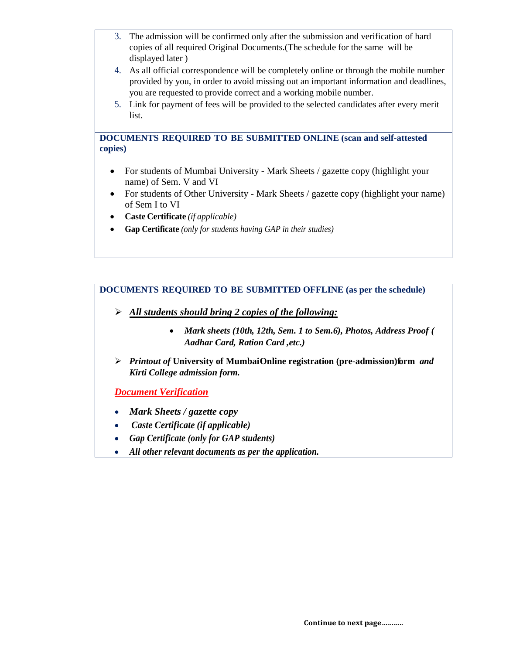- 3. The admission will be confirmed only after the submission and verification of hard copies of all required Original Documents.(The schedule for the same will be displayed later )
- 4. As all official correspondence will be completely online or through the mobile number provided by you, in order to avoid missing out an important information and deadlines, you are requested to provide correct and a working mobile number.
- 5. Link for payment of fees will be provided to the selected candidates after every merit list.

#### **DOCUMENTS REQUIRED TO BE SUBMITTED ONLINE (scan and self-attested copies)**

- For students of Mumbai University Mark Sheets / gazette copy (highlight your name) of Sem. V and VI
- For students of Other University Mark Sheets / gazette copy (highlight your name) of Sem I to VI
- **Caste Certificate** *(if applicable)*
- **Gap Certificate** *(only for students having GAP in their studies)*

#### **DOCUMENTS REQUIRED TO BE SUBMITTED OFFLINE (as per the schedule)**

- *All students should bring 2 copies of the following:*
	- *Mark sheets (10th, 12th, Sem. 1 to Sem.6), Photos, Address Proof ( Aadhar Card, Ration Card ,etc.)*
- *Printout of University of Mumbai Online registration (pre-admission)form and Kirti College admission form.*

*Document Verification*

- *Mark Sheets / gazette copy*
- *Caste Certificate (if applicable)*
- *Gap Certificate (only for GAP students)*
- *All other relevant documents as per the application.*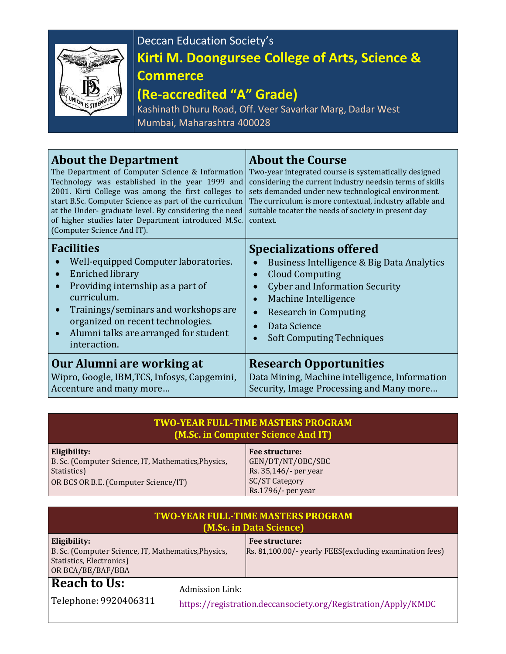

# Deccan Education Society's **Kirti M. Doongursee College of Arts, Science & Commerce**

## **(Re-accredited "A" Grade)**

Kashinath Dhuru Road, Off. Veer Savarkar Marg, Dadar West Mumbai, Maharashtra 400028

| <b>About the Department</b><br>The Department of Computer Science & Information<br>Technology was established in the year 1999 and<br>2001. Kirti College was among the first colleges to<br>start B.Sc. Computer Science as part of the curriculum<br>at the Under-graduate level. By considering the need<br>of higher studies later Department introduced M.Sc.<br>(Computer Science And IT). | <b>About the Course</b><br>Two-year integrated course is systematically designed<br>considering the current industry needsin terms of skills<br>sets demanded under new technological environment.<br>The curriculum is more contextual, industry affable and<br>suitable tocater the needs of society in present day<br>context. |
|--------------------------------------------------------------------------------------------------------------------------------------------------------------------------------------------------------------------------------------------------------------------------------------------------------------------------------------------------------------------------------------------------|-----------------------------------------------------------------------------------------------------------------------------------------------------------------------------------------------------------------------------------------------------------------------------------------------------------------------------------|
| <b>Facilities</b>                                                                                                                                                                                                                                                                                                                                                                                | <b>Specializations offered</b>                                                                                                                                                                                                                                                                                                    |
| Well-equipped Computer laboratories.                                                                                                                                                                                                                                                                                                                                                             | Business Intelligence & Big Data Analytics                                                                                                                                                                                                                                                                                        |
| <b>Enriched library</b>                                                                                                                                                                                                                                                                                                                                                                          | <b>Cloud Computing</b>                                                                                                                                                                                                                                                                                                            |
| Providing internship as a part of                                                                                                                                                                                                                                                                                                                                                                | $\bullet$                                                                                                                                                                                                                                                                                                                         |
| $\bullet$                                                                                                                                                                                                                                                                                                                                                                                        | <b>Cyber and Information Security</b>                                                                                                                                                                                                                                                                                             |
| curriculum.                                                                                                                                                                                                                                                                                                                                                                                      | Machine Intelligence                                                                                                                                                                                                                                                                                                              |
| Trainings/seminars and workshops are                                                                                                                                                                                                                                                                                                                                                             | $\bullet$                                                                                                                                                                                                                                                                                                                         |
| $\bullet$                                                                                                                                                                                                                                                                                                                                                                                        | <b>Research in Computing</b>                                                                                                                                                                                                                                                                                                      |
| organized on recent technologies.                                                                                                                                                                                                                                                                                                                                                                | $\bullet$                                                                                                                                                                                                                                                                                                                         |
| Alumni talks are arranged for student                                                                                                                                                                                                                                                                                                                                                            | Data Science                                                                                                                                                                                                                                                                                                                      |
| $\bullet$                                                                                                                                                                                                                                                                                                                                                                                        | <b>Soft Computing Techniques</b>                                                                                                                                                                                                                                                                                                  |
| interaction.                                                                                                                                                                                                                                                                                                                                                                                     | $\bullet$                                                                                                                                                                                                                                                                                                                         |
| Our Alumni are working at                                                                                                                                                                                                                                                                                                                                                                        | <b>Research Opportunities</b>                                                                                                                                                                                                                                                                                                     |
| Wipro, Google, IBM, TCS, Infosys, Capgemini,                                                                                                                                                                                                                                                                                                                                                     | Data Mining, Machine intelligence, Information                                                                                                                                                                                                                                                                                    |
| Accenture and many more                                                                                                                                                                                                                                                                                                                                                                          | Security, Image Processing and Many more                                                                                                                                                                                                                                                                                          |

| TWO-YEAR FULL-TIME MASTERS PROGRAM . |
|--------------------------------------|
| (M.Sc. in Computer Science And IT)   |

| Eligibility:                                        | <b>Fee structure:</b> |
|-----------------------------------------------------|-----------------------|
| B. Sc. (Computer Science, IT, Mathematics, Physics, | GEN/DT/NT/OBC/SBC     |
| Statistics)                                         | Rs. 35,146/- per year |
| OR BCS OR B.E. (Computer Science/IT)                | SC/ST Category        |
|                                                     | Rs.1796/- per year    |

| <b>TWO-YEAR FULL-TIME MASTERS PROGRAM</b><br>(M.Sc. in Data Science)                                                 |                 |                                                                           |  |  |  |
|----------------------------------------------------------------------------------------------------------------------|-----------------|---------------------------------------------------------------------------|--|--|--|
| Eligibility:<br>B. Sc. (Computer Science, IT, Mathematics, Physics,<br>Statistics, Electronics)<br>OR BCA/BE/BAF/BBA |                 | Fee structure:<br>Rs. 81,100.00/- yearly FEES(excluding examination fees) |  |  |  |
| <b>Reach to Us:</b><br>Telephone: 9920406311                                                                         | Admission Link: | https://registration.deccansociety.org/Registration/Apply/KMDC            |  |  |  |